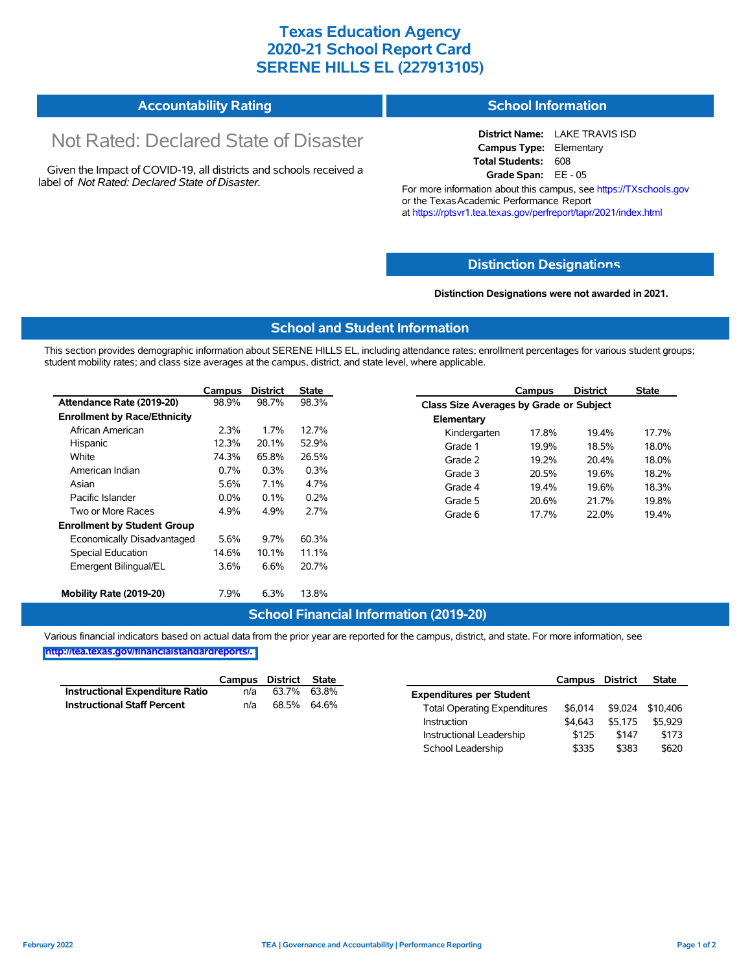## **Texas Education Agency 2020-21 School Report Card SERENE HILLS EL (227913105)**

| <b>Accountability Rating</b> | <b>School Information</b> |
|------------------------------|---------------------------|
|------------------------------|---------------------------|

# Not Rated: Declared State of Disaster

Given the Impact of COVID-19, all districts and schools received a label of *Not Rated: Declared State of Disaster.*

**District Name:** LAKE TRAVIS ISD **Campus Type:** Elementary **Total Students:** 608 **Grade Span:** EE - 05

For more information about this campus, see https://TXschools.gov or the Texas Academic Performance Report at https://rptsvr1.tea.texas.gov/perfreport/tapr/2021/index.html

### **Distinction Designat[ions](https://TXschools.gov)**

**Distinction Designations were not awarded in 2021.**

School Leadership  $$335$  \$383 \$620

#### **School and Student Information**

This section provides demographic information about SERENE HILLS EL, including attendance rates; enrollment percentages for various student groups; student mobility rates; and class size averages at the campus, district, and state level, where applicable.

|                                     | Campus  | <b>District</b> | <b>State</b> |              | Campus                                  | <b>District</b> | <b>State</b> |  |  |
|-------------------------------------|---------|-----------------|--------------|--------------|-----------------------------------------|-----------------|--------------|--|--|
| Attendance Rate (2019-20)           | 98.9%   | 98.7%           | 98.3%        |              | Class Size Averages by Grade or Subject |                 |              |  |  |
| <b>Enrollment by Race/Ethnicity</b> |         |                 |              | Elementary   |                                         |                 |              |  |  |
| African American                    | 2.3%    | 1.7%            | 12.7%        | Kindergarten | 17.8%                                   | 19.4%           | 17.7%        |  |  |
| Hispanic                            | 12.3%   | 20.1%           | 52.9%        | Grade 1      | 19.9%                                   | 18.5%           | 18.0%        |  |  |
| White                               | 74.3%   | 65.8%           | 26.5%        | Grade 2      | 19.2%                                   | 20.4%           | 18.0%        |  |  |
| American Indian                     | 0.7%    | 0.3%            | 0.3%         | Grade 3      | 20.5%                                   | 19.6%           | 18.2%        |  |  |
| Asian                               | 5.6%    | 7.1%            | 4.7%         | Grade 4      | 19.4%                                   | 19.6%           | 18.3%        |  |  |
| Pacific Islander                    | $0.0\%$ | 0.1%            | 0.2%         | Grade 5      | 20.6%                                   | 21.7%           | 19.8%        |  |  |
| Two or More Races                   | 4.9%    | 4.9%            | 2.7%         | Grade 6      | 17.7%                                   | 22.0%           | 19.4%        |  |  |
| <b>Enrollment by Student Group</b>  |         |                 |              |              |                                         |                 |              |  |  |
| Economically Disadvantaged          | 5.6%    | 9.7%            | 60.3%        |              |                                         |                 |              |  |  |
| Special Education                   | 14.6%   | 10.1%           | 11.1%        |              |                                         |                 |              |  |  |
| Emergent Bilingual/EL               | 3.6%    | 6.6%            | 20.7%        |              |                                         |                 |              |  |  |
|                                     |         |                 |              |              |                                         |                 |              |  |  |
| Mobility Rate (2019-20)             | 7.9%    | 6.3%            | 13.8%        |              |                                         |                 |              |  |  |

#### **School Financial Information (2019-20)**

Various financial indicators based on actual data from the prior year are reported for the campus, district, and state. For more information, see

**[http://tea.texas.gov/financialstandardreports/.](http://tea.texas.gov/financialstandardreports/)**

|                                    | Campus | District State |             |                                     | Campus  | <b>District</b> | <b>State</b>     |
|------------------------------------|--------|----------------|-------------|-------------------------------------|---------|-----------------|------------------|
| Instructional Expenditure Ratio    | n/a    | 63.7%          | 63.8%       | <b>Expenditures per Student</b>     |         |                 |                  |
| <b>Instructional Staff Percent</b> | n/a    |                | 68.5% 64.6% | <b>Total Operating Expenditures</b> | \$6.014 |                 | \$9.024 \$10.406 |
|                                    |        |                |             | Instruction                         | \$4.643 | \$5.175         | \$5.929          |
|                                    |        |                |             | Instructional Leadership            | \$125   | \$147           | \$173            |